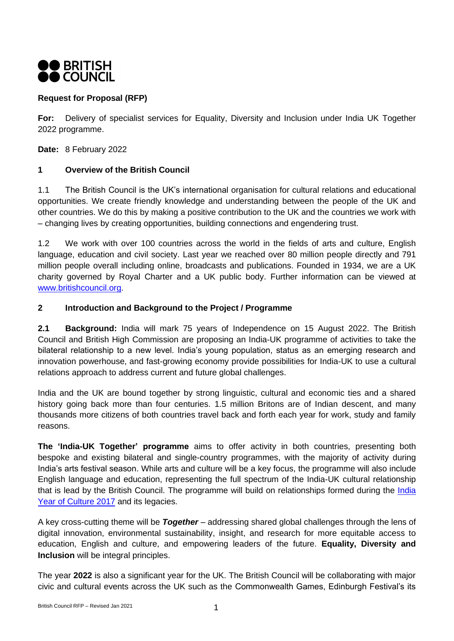

# **Request for Proposal (RFP)**

**For:** Delivery of specialist services for Equality, Diversity and Inclusion under India UK Together 2022 programme.

**Date:** 8 February 2022

#### **1 Overview of the British Council**

1.1 The British Council is the UK's international organisation for cultural relations and educational opportunities. We create friendly knowledge and understanding between the people of the UK and other countries. We do this by making a positive contribution to the UK and the countries we work with – changing lives by creating opportunities, building connections and engendering trust.

1.2 We work with over 100 countries across the world in the fields of arts and culture, English language, education and civil society. Last year we reached over 80 million people directly and 791 million people overall including online, broadcasts and publications. Founded in 1934, we are a UK charity governed by Royal Charter and a UK public body. Further information can be viewed at [www.britishcouncil.org.](http://www.britishcouncil.org/)

#### **2 Introduction and Background to the Project / Programme**

**2.1 Background:** India will mark 75 years of Independence on 15 August 2022. The British Council and British High Commission are proposing an India-UK programme of activities to take the bilateral relationship to a new level. India's young population, status as an emerging research and innovation powerhouse, and fast-growing economy provide possibilities for India-UK to use a cultural relations approach to address current and future global challenges.

India and the UK are bound together by strong linguistic, cultural and economic ties and a shared history going back more than four centuries. 1.5 million Britons are of Indian descent, and many thousands more citizens of both countries travel back and forth each year for work, study and family reasons.

**The 'India-UK Together' programme** aims to offer activity in both countries, presenting both bespoke and existing bilateral and single-country programmes, with the majority of activity during India's arts festival season. While arts and culture will be a key focus, the programme will also include English language and education, representing the full spectrum of the India-UK cultural relationship that is lead by the British Council. The programme will build on relationships formed during the [India](https://www.britishcouncil.in/programmes/uk-india-2017)  [Year of Culture 2017](https://www.britishcouncil.in/programmes/uk-india-2017) and its legacies.

A key cross-cutting theme will be *Together* – addressing shared global challenges through the lens of digital innovation, environmental sustainability, insight, and research for more equitable access to education, English and culture, and empowering leaders of the future. **Equality, Diversity and Inclusion** will be integral principles.

The year **2022** is also a significant year for the UK. The British Council will be collaborating with major civic and cultural events across the UK such as the Commonwealth Games, Edinburgh Festival's its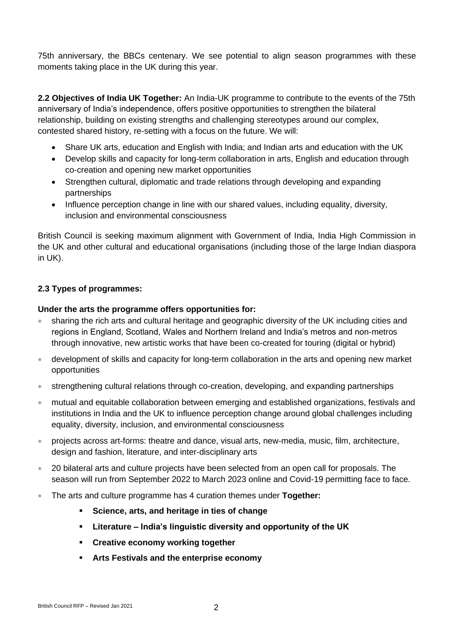75th anniversary, the BBCs centenary. We see potential to align season programmes with these moments taking place in the UK during this year.

**2.2 Objectives of India UK Together:** An India-UK programme to contribute to the events of the 75th anniversary of India's independence, offers positive opportunities to strengthen the bilateral relationship, building on existing strengths and challenging stereotypes around our complex, contested shared history, re-setting with a focus on the future. We will:

- Share UK arts, education and English with India; and Indian arts and education with the UK
- Develop skills and capacity for long-term collaboration in arts, English and education through co-creation and opening new market opportunities
- Strengthen cultural, diplomatic and trade relations through developing and expanding partnerships
- Influence perception change in line with our shared values, including equality, diversity, inclusion and environmental consciousness

British Council is seeking maximum alignment with Government of India, India High Commission in the UK and other cultural and educational organisations (including those of the large Indian diaspora in UK).

## **2.3 Types of programmes:**

#### **Under the arts the programme offers opportunities for:**

- sharing the rich arts and cultural heritage and geographic diversity of the UK including cities and regions in England, Scotland, Wales and Northern Ireland and India's metros and non-metros through innovative, new artistic works that have been co-created for touring (digital or hybrid)
- development of skills and capacity for long-term collaboration in the arts and opening new market opportunities
- strengthening cultural relations through co-creation, developing, and expanding partnerships
- mutual and equitable collaboration between emerging and established organizations, festivals and institutions in India and the UK to influence perception change around global challenges including equality, diversity, inclusion, and environmental consciousness
- projects across art-forms: theatre and dance, visual arts, new-media, music, film, architecture, design and fashion, literature, and inter-disciplinary arts
- 20 bilateral arts and culture projects have been selected from an open call for proposals. The season will run from September 2022 to March 2023 online and Covid-19 permitting face to face.
- The arts and culture programme has 4 curation themes under **Together:**
	- **Science, arts, and heritage in ties of change**
	- **Literature – India's linguistic diversity and opportunity of the UK**
	- **Creative economy working together**
	- **Arts Festivals and the enterprise economy**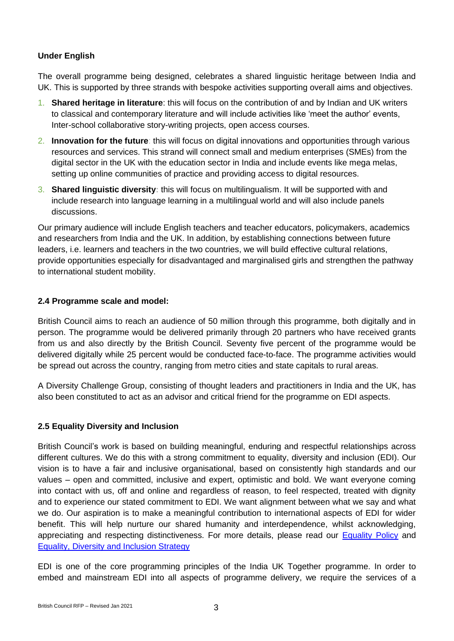## **Under English**

The overall programme being designed, celebrates a shared linguistic heritage between India and UK. This is supported by three strands with bespoke activities supporting overall aims and objectives.

- 1. **Shared heritage in literature**: this will focus on the contribution of and by Indian and UK writers to classical and contemporary literature and will include activities like 'meet the author' events, Inter-school collaborative story-writing projects, open access courses.
- 2. **Innovation for the future**: this will focus on digital innovations and opportunities through various resources and services. This strand will connect small and medium enterprises (SMEs) from the digital sector in the UK with the education sector in India and include events like mega melas, setting up online communities of practice and providing access to digital resources.
- 3. **Shared linguistic diversity:** this will focus on multilingualism. It will be supported with and include research into language learning in a multilingual world and will also include panels discussions.

Our primary audience will include English teachers and teacher educators, policymakers, academics and researchers from India and the UK. In addition, by establishing connections between future leaders, i.e. learners and teachers in the two countries, we will build effective cultural relations, provide opportunities especially for disadvantaged and marginalised girls and strengthen the pathway to international student mobility.

#### **2.4 Programme scale and model:**

British Council aims to reach an audience of 50 million through this programme, both digitally and in person. The programme would be delivered primarily through 20 partners who have received grants from us and also directly by the British Council. Seventy five percent of the programme would be delivered digitally while 25 percent would be conducted face-to-face. The programme activities would be spread out across the country, ranging from metro cities and state capitals to rural areas.

A Diversity Challenge Group, consisting of thought leaders and practitioners in India and the UK, has also been constituted to act as an advisor and critical friend for the programme on EDI aspects.

## **2.5 Equality Diversity and Inclusion**

British Council's work is based on building meaningful, enduring and respectful relationships across different cultures. We do this with a strong commitment to equality, diversity and inclusion (EDI). Our vision is to have a fair and inclusive organisational, based on consistently high standards and our values – open and committed, inclusive and expert, optimistic and bold. We want everyone coming into contact with us, off and online and regardless of reason, to feel respected, treated with dignity and to experience our stated commitment to EDI. We want alignment between what we say and what we do. Our aspiration is to make a meaningful contribution to international aspects of EDI for wider benefit. This will help nurture our shared humanity and interdependence, whilst acknowledging, appreciating and respecting distinctiveness. For more details, please read our **Equality Policy** and [Equality, Diversity and Inclusion Strategy](https://www.britishcouncil.org/sites/default/files/equality_diversity_inclusion_strategy_2021.pdf)

EDI is one of the core programming principles of the India UK Together programme. In order to embed and mainstream EDI into all aspects of programme delivery, we require the services of a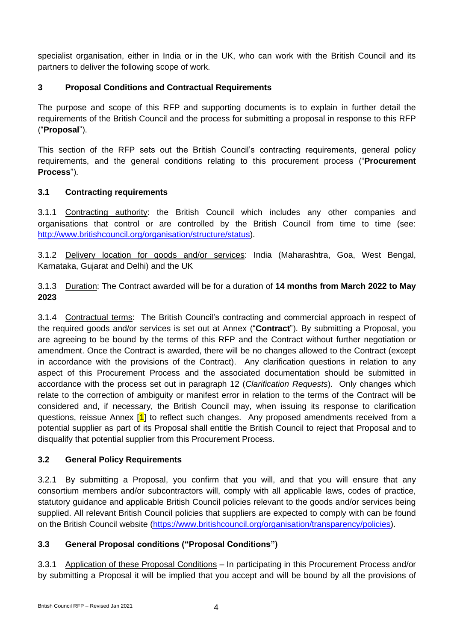specialist organisation, either in India or in the UK, who can work with the British Council and its partners to deliver the following scope of work.

# **3 Proposal Conditions and Contractual Requirements**

The purpose and scope of this RFP and supporting documents is to explain in further detail the requirements of the British Council and the process for submitting a proposal in response to this RFP ("**Proposal**").

This section of the RFP sets out the British Council's contracting requirements, general policy requirements, and the general conditions relating to this procurement process ("**Procurement Process**").

## **3.1 Contracting requirements**

3.1.1 Contracting authority: the British Council which includes any other companies and organisations that control or are controlled by the British Council from time to time (see: [http://www.britishcouncil.org/organisation/structure/status\)](http://www.britishcouncil.org/organisation/structure/status).

3.1.2 Delivery location for goods and/or services: India (Maharashtra, Goa, West Bengal, Karnataka, Gujarat and Delhi) and the UK

3.1.3 Duration: The Contract awarded will be for a duration of **14 months from March 2022 to May 2023**

3.1.4 Contractual terms: The British Council's contracting and commercial approach in respect of the required goods and/or services is set out at Annex ("**Contract**"). By submitting a Proposal, you are agreeing to be bound by the terms of this RFP and the Contract without further negotiation or amendment. Once the Contract is awarded, there will be no changes allowed to the Contract (except in accordance with the provisions of the Contract). Any clarification questions in relation to any aspect of this Procurement Process and the associated documentation should be submitted in accordance with the process set out in paragraph 12 (*Clarification Requests*). Only changes which relate to the correction of ambiguity or manifest error in relation to the terms of the Contract will be considered and, if necessary, the British Council may, when issuing its response to clarification questions, reissue Annex [1] to reflect such changes. Any proposed amendments received from a potential supplier as part of its Proposal shall entitle the British Council to reject that Proposal and to disqualify that potential supplier from this Procurement Process.

## **3.2 General Policy Requirements**

3.2.1 By submitting a Proposal, you confirm that you will, and that you will ensure that any consortium members and/or subcontractors will, comply with all applicable laws, codes of practice, statutory guidance and applicable British Council policies relevant to the goods and/or services being supplied. All relevant British Council policies that suppliers are expected to comply with can be found on the British Council website [\(https://www.britishcouncil.org/organisation/transparency/policies\)](https://www.britishcouncil.org/organisation/transparency/policies).

# **3.3 General Proposal conditions ("Proposal Conditions")**

3.3.1 Application of these Proposal Conditions – In participating in this Procurement Process and/or by submitting a Proposal it will be implied that you accept and will be bound by all the provisions of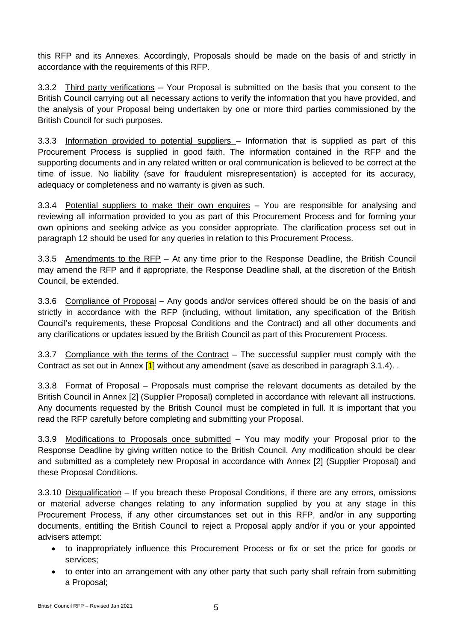this RFP and its Annexes. Accordingly, Proposals should be made on the basis of and strictly in accordance with the requirements of this RFP.

3.3.2 Third party verifications – Your Proposal is submitted on the basis that you consent to the British Council carrying out all necessary actions to verify the information that you have provided, and the analysis of your Proposal being undertaken by one or more third parties commissioned by the British Council for such purposes.

3.3.3 Information provided to potential suppliers – Information that is supplied as part of this Procurement Process is supplied in good faith. The information contained in the RFP and the supporting documents and in any related written or oral communication is believed to be correct at the time of issue. No liability (save for fraudulent misrepresentation) is accepted for its accuracy, adequacy or completeness and no warranty is given as such.

3.3.4 Potential suppliers to make their own enquires – You are responsible for analysing and reviewing all information provided to you as part of this Procurement Process and for forming your own opinions and seeking advice as you consider appropriate. The clarification process set out in paragraph 12 should be used for any queries in relation to this Procurement Process.

3.3.5 Amendments to the RFP – At any time prior to the Response Deadline, the British Council may amend the RFP and if appropriate, the Response Deadline shall, at the discretion of the British Council, be extended.

3.3.6 Compliance of Proposal – Any goods and/or services offered should be on the basis of and strictly in accordance with the RFP (including, without limitation, any specification of the British Council's requirements, these Proposal Conditions and the Contract) and all other documents and any clarifications or updates issued by the British Council as part of this Procurement Process.

3.3.7 Compliance with the terms of the Contract – The successful supplier must comply with the Contract as set out in Annex  $\left| \mathbf{1} \right|$  without any amendment (save as described in paragraph 3.1.4).

3.3.8 Format of Proposal - Proposals must comprise the relevant documents as detailed by the British Council in Annex [2] (Supplier Proposal) completed in accordance with relevant all instructions. Any documents requested by the British Council must be completed in full. It is important that you read the RFP carefully before completing and submitting your Proposal.

3.3.9 Modifications to Proposals once submitted – You may modify your Proposal prior to the Response Deadline by giving written notice to the British Council. Any modification should be clear and submitted as a completely new Proposal in accordance with Annex [2] (Supplier Proposal) and these Proposal Conditions.

3.3.10 Disqualification – If you breach these Proposal Conditions, if there are any errors, omissions or material adverse changes relating to any information supplied by you at any stage in this Procurement Process, if any other circumstances set out in this RFP, and/or in any supporting documents, entitling the British Council to reject a Proposal apply and/or if you or your appointed advisers attempt:

- to inappropriately influence this Procurement Process or fix or set the price for goods or services;
- to enter into an arrangement with any other party that such party shall refrain from submitting a Proposal;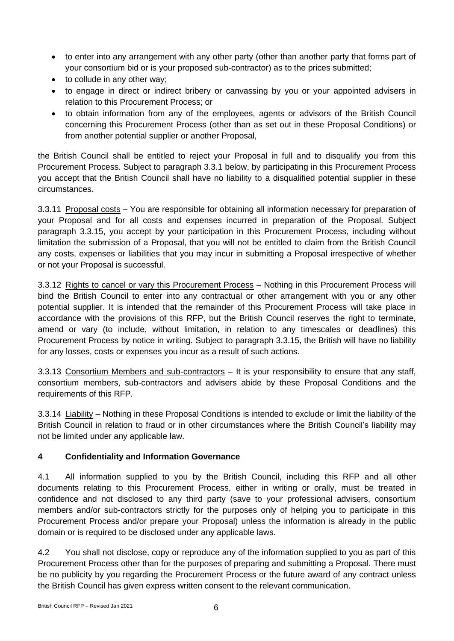- to enter into any arrangement with any other party (other than another party that forms part of your consortium bid or is your proposed sub-contractor) as to the prices submitted;
- to collude in any other way;
- to engage in direct or indirect bribery or canvassing by you or your appointed advisers in relation to this Procurement Process; or
- to obtain information from any of the employees, agents or advisors of the British Council concerning this Procurement Process (other than as set out in these Proposal Conditions) or from another potential supplier or another Proposal,

the British Council shall be entitled to reject your Proposal in full and to disqualify you from this Procurement Process. Subject to paragraph 3.3.1 below, by participating in this Procurement Process you accept that the British Council shall have no liability to a disqualified potential supplier in these circumstances.

3.3.11 Proposal costs – You are responsible for obtaining all information necessary for preparation of your Proposal and for all costs and expenses incurred in preparation of the Proposal. Subject paragraph 3.3.15, you accept by your participation in this Procurement Process, including without limitation the submission of a Proposal, that you will not be entitled to claim from the British Council any costs, expenses or liabilities that you may incur in submitting a Proposal irrespective of whether or not your Proposal is successful.

3.3.12 Rights to cancel or vary this Procurement Process - Nothing in this Procurement Process will bind the British Council to enter into any contractual or other arrangement with you or any other potential supplier. It is intended that the remainder of this Procurement Process will take place in accordance with the provisions of this RFP, but the British Council reserves the right to terminate, amend or vary (to include, without limitation, in relation to any timescales or deadlines) this Procurement Process by notice in writing. Subject to paragraph 3.3.15, the British will have no liability for any losses, costs or expenses you incur as a result of such actions.

3.3.13 Consortium Members and sub-contractors – It is your responsibility to ensure that any staff, consortium members, sub-contractors and advisers abide by these Proposal Conditions and the requirements of this RFP.

3.3.14 Liability – Nothing in these Proposal Conditions is intended to exclude or limit the liability of the British Council in relation to fraud or in other circumstances where the British Council's liability may not be limited under any applicable law.

# **4 Confidentiality and Information Governance**

4.1 All information supplied to you by the British Council, including this RFP and all other documents relating to this Procurement Process, either in writing or orally, must be treated in confidence and not disclosed to any third party (save to your professional advisers, consortium members and/or sub-contractors strictly for the purposes only of helping you to participate in this Procurement Process and/or prepare your Proposal) unless the information is already in the public domain or is required to be disclosed under any applicable laws.

4.2 You shall not disclose, copy or reproduce any of the information supplied to you as part of this Procurement Process other than for the purposes of preparing and submitting a Proposal. There must be no publicity by you regarding the Procurement Process or the future award of any contract unless the British Council has given express written consent to the relevant communication.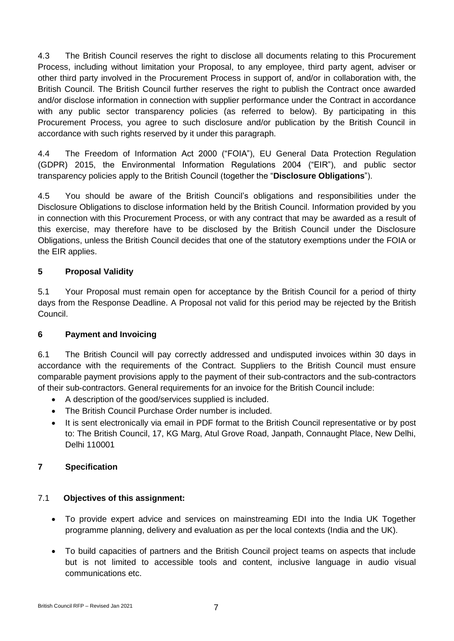4.3 The British Council reserves the right to disclose all documents relating to this Procurement Process, including without limitation your Proposal, to any employee, third party agent, adviser or other third party involved in the Procurement Process in support of, and/or in collaboration with, the British Council. The British Council further reserves the right to publish the Contract once awarded and/or disclose information in connection with supplier performance under the Contract in accordance with any public sector transparency policies (as referred to below). By participating in this Procurement Process, you agree to such disclosure and/or publication by the British Council in accordance with such rights reserved by it under this paragraph.

4.4 The Freedom of Information Act 2000 ("FOIA"), EU General Data Protection Regulation (GDPR) 2015, the Environmental Information Regulations 2004 ("EIR"), and public sector transparency policies apply to the British Council (together the "**Disclosure Obligations**").

4.5 You should be aware of the British Council's obligations and responsibilities under the Disclosure Obligations to disclose information held by the British Council. Information provided by you in connection with this Procurement Process, or with any contract that may be awarded as a result of this exercise, may therefore have to be disclosed by the British Council under the Disclosure Obligations, unless the British Council decides that one of the statutory exemptions under the FOIA or the EIR applies.

## **5 Proposal Validity**

5.1 Your Proposal must remain open for acceptance by the British Council for a period of thirty days from the Response Deadline. A Proposal not valid for this period may be rejected by the British Council.

## **6 Payment and Invoicing**

6.1 The British Council will pay correctly addressed and undisputed invoices within 30 days in accordance with the requirements of the Contract. Suppliers to the British Council must ensure comparable payment provisions apply to the payment of their sub-contractors and the sub-contractors of their sub-contractors. General requirements for an invoice for the British Council include:

- A description of the good/services supplied is included.
- The British Council Purchase Order number is included.
- It is sent electronically via email in PDF format to the British Council representative or by post to: The British Council, 17, KG Marg, Atul Grove Road, Janpath, Connaught Place, New Delhi, Delhi 110001

## **7 Specification**

## 7.1 **Objectives of this assignment:**

- To provide expert advice and services on mainstreaming EDI into the India UK Together programme planning, delivery and evaluation as per the local contexts (India and the UK).
- To build capacities of partners and the British Council project teams on aspects that include but is not limited to accessible tools and content, inclusive language in audio visual communications etc.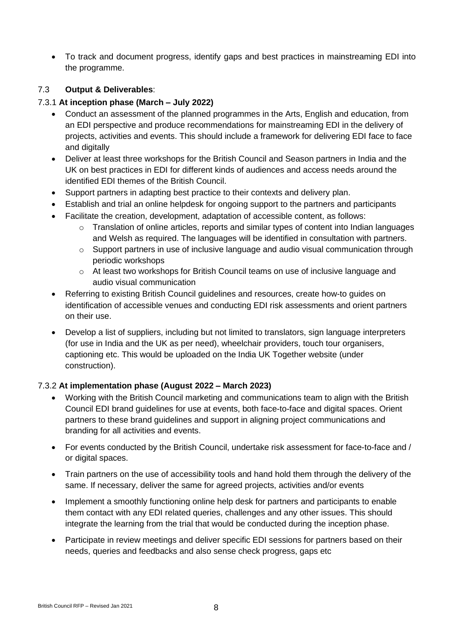• To track and document progress, identify gaps and best practices in mainstreaming EDI into the programme.

# 7.3 **Output & Deliverables**:

#### 7.3.1 **At inception phase (March – July 2022)**

- Conduct an assessment of the planned programmes in the Arts, English and education, from an EDI perspective and produce recommendations for mainstreaming EDI in the delivery of projects, activities and events. This should include a framework for delivering EDI face to face and digitally
- Deliver at least three workshops for the British Council and Season partners in India and the UK on best practices in EDI for different kinds of audiences and access needs around the identified EDI themes of the British Council.
- Support partners in adapting best practice to their contexts and delivery plan.
- Establish and trial an online helpdesk for ongoing support to the partners and participants
- Facilitate the creation, development, adaptation of accessible content, as follows:
	- o Translation of online articles, reports and similar types of content into Indian languages and Welsh as required. The languages will be identified in consultation with partners.
	- $\circ$  Support partners in use of inclusive language and audio visual communication through periodic workshops
	- $\circ$  At least two workshops for British Council teams on use of inclusive language and audio visual communication
- Referring to existing British Council guidelines and resources, create how-to guides on identification of accessible venues and conducting EDI risk assessments and orient partners on their use.
- Develop a list of suppliers, including but not limited to translators, sign language interpreters (for use in India and the UK as per need), wheelchair providers, touch tour organisers, captioning etc. This would be uploaded on the India UK Together website (under construction).

## 7.3.2 **At implementation phase (August 2022 – March 2023)**

- Working with the British Council marketing and communications team to align with the British Council EDI brand guidelines for use at events, both face-to-face and digital spaces. Orient partners to these brand guidelines and support in aligning project communications and branding for all activities and events.
- For events conducted by the British Council, undertake risk assessment for face-to-face and / or digital spaces.
- Train partners on the use of accessibility tools and hand hold them through the delivery of the same. If necessary, deliver the same for agreed projects, activities and/or events
- Implement a smoothly functioning online help desk for partners and participants to enable them contact with any EDI related queries, challenges and any other issues. This should integrate the learning from the trial that would be conducted during the inception phase.
- Participate in review meetings and deliver specific EDI sessions for partners based on their needs, queries and feedbacks and also sense check progress, gaps etc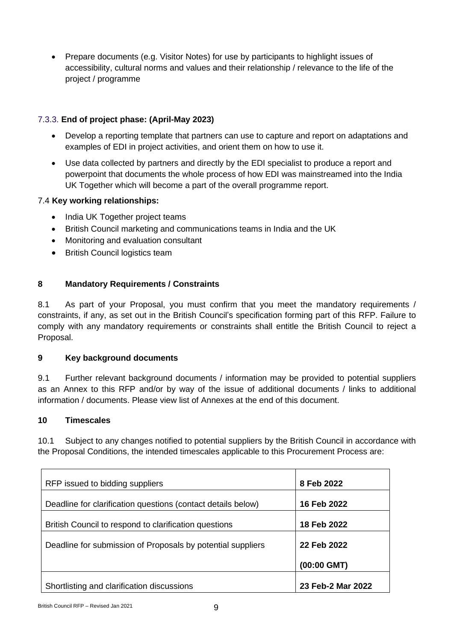• Prepare documents (e.g. Visitor Notes) for use by participants to highlight issues of accessibility, cultural norms and values and their relationship / relevance to the life of the project / programme

# 7.3.3. **End of project phase: (April-May 2023)**

- Develop a reporting template that partners can use to capture and report on adaptations and examples of EDI in project activities, and orient them on how to use it.
- Use data collected by partners and directly by the EDI specialist to produce a report and powerpoint that documents the whole process of how EDI was mainstreamed into the India UK Together which will become a part of the overall programme report.

## 7.4 **Key working relationships:**

- India UK Together project teams
- British Council marketing and communications teams in India and the UK
- Monitoring and evaluation consultant
- British Council logistics team

# **8 Mandatory Requirements / Constraints**

8.1 As part of your Proposal, you must confirm that you meet the mandatory requirements / constraints, if any, as set out in the British Council's specification forming part of this RFP. Failure to comply with any mandatory requirements or constraints shall entitle the British Council to reject a Proposal.

## **9 Key background documents**

9.1 Further relevant background documents / information may be provided to potential suppliers as an Annex to this RFP and/or by way of the issue of additional documents / links to additional information / documents. Please view list of Annexes at the end of this document.

## **10 Timescales**

10.1 Subject to any changes notified to potential suppliers by the British Council in accordance with the Proposal Conditions, the intended timescales applicable to this Procurement Process are:

| RFP issued to bidding suppliers                              | 8 Feb 2022        |
|--------------------------------------------------------------|-------------------|
| Deadline for clarification questions (contact details below) | 16 Feb 2022       |
| British Council to respond to clarification questions        | 18 Feb 2022       |
| Deadline for submission of Proposals by potential suppliers  | 22 Feb 2022       |
|                                                              | $(00:00$ GMT)     |
| Shortlisting and clarification discussions                   | 23 Feb-2 Mar 2022 |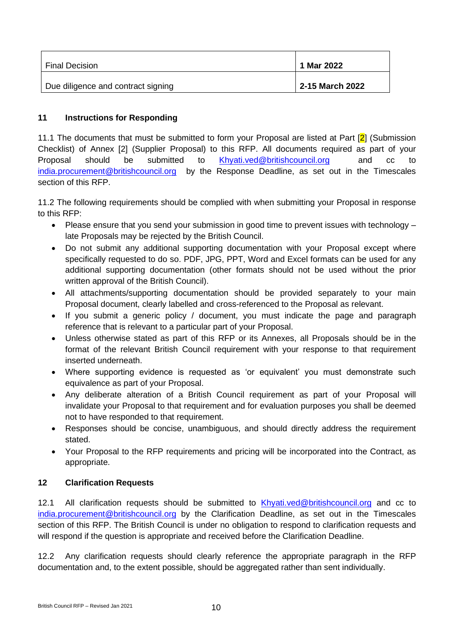| <b>Final Decision</b>              | 1 Mar 2022      |
|------------------------------------|-----------------|
| Due diligence and contract signing | 2-15 March 2022 |

#### **11 Instructions for Responding**

11.1 The documents that must be submitted to form your Proposal are listed at Part [2] (Submission Checklist) of Annex [2] (Supplier Proposal) to this RFP. All documents required as part of your Proposal should be submitted to [Khyati.ved@britishcouncil.org](mailto:Khyati.ved@britishcouncil.org) and cc to [india.procurement@britishcouncil.org](mailto:india.procurement@britishcouncil.org) by the Response Deadline, as set out in the Timescales section of this RFP.

11.2 The following requirements should be complied with when submitting your Proposal in response to this RFP:

- Please ensure that you send your submission in good time to prevent issues with technology late Proposals may be rejected by the British Council.
- Do not submit any additional supporting documentation with your Proposal except where specifically requested to do so. PDF, JPG, PPT, Word and Excel formats can be used for any additional supporting documentation (other formats should not be used without the prior written approval of the British Council).
- All attachments/supporting documentation should be provided separately to your main Proposal document, clearly labelled and cross-referenced to the Proposal as relevant.
- If you submit a generic policy / document, you must indicate the page and paragraph reference that is relevant to a particular part of your Proposal.
- Unless otherwise stated as part of this RFP or its Annexes, all Proposals should be in the format of the relevant British Council requirement with your response to that requirement inserted underneath.
- Where supporting evidence is requested as 'or equivalent' you must demonstrate such equivalence as part of your Proposal.
- Any deliberate alteration of a British Council requirement as part of your Proposal will invalidate your Proposal to that requirement and for evaluation purposes you shall be deemed not to have responded to that requirement.
- Responses should be concise, unambiguous, and should directly address the requirement stated.
- Your Proposal to the RFP requirements and pricing will be incorporated into the Contract, as appropriate.

## **12 Clarification Requests**

12.1 All clarification requests should be submitted to [Khyati.ved@britishcouncil.org](mailto:Khyati.ved@britishcouncil.org) and cc to [india.procurement@britishcouncil.org](mailto:india.procurement@britishcouncil.org) by the Clarification Deadline, as set out in the Timescales section of this RFP. The British Council is under no obligation to respond to clarification requests and will respond if the question is appropriate and received before the Clarification Deadline.

12.2 Any clarification requests should clearly reference the appropriate paragraph in the RFP documentation and, to the extent possible, should be aggregated rather than sent individually.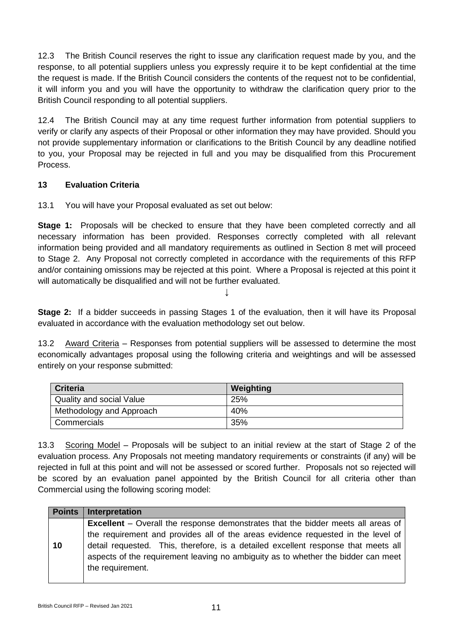12.3 The British Council reserves the right to issue any clarification request made by you, and the response, to all potential suppliers unless you expressly require it to be kept confidential at the time the request is made. If the British Council considers the contents of the request not to be confidential, it will inform you and you will have the opportunity to withdraw the clarification query prior to the British Council responding to all potential suppliers.

12.4 The British Council may at any time request further information from potential suppliers to verify or clarify any aspects of their Proposal or other information they may have provided. Should you not provide supplementary information or clarifications to the British Council by any deadline notified to you, your Proposal may be rejected in full and you may be disqualified from this Procurement Process.

## **13 Evaluation Criteria**

13.1 You will have your Proposal evaluated as set out below:

**Stage 1:** Proposals will be checked to ensure that they have been completed correctly and all necessary information has been provided. Responses correctly completed with all relevant information being provided and all mandatory requirements as outlined in Section 8 met will proceed to Stage 2. Any Proposal not correctly completed in accordance with the requirements of this RFP and/or containing omissions may be rejected at this point. Where a Proposal is rejected at this point it will automatically be disqualified and will not be further evaluated.

↓

**Stage 2:** If a bidder succeeds in passing Stages 1 of the evaluation, then it will have its Proposal evaluated in accordance with the evaluation methodology set out below.

13.2 Award Criteria – Responses from potential suppliers will be assessed to determine the most economically advantages proposal using the following criteria and weightings and will be assessed entirely on your response submitted:

| <b>Criteria</b>                 | Weighting |
|---------------------------------|-----------|
| <b>Quality and social Value</b> | 25%       |
| Methodology and Approach        | 40%       |
| Commercials                     | 35%       |

13.3 Scoring Model - Proposals will be subject to an initial review at the start of Stage 2 of the evaluation process. Any Proposals not meeting mandatory requirements or constraints (if any) will be rejected in full at this point and will not be assessed or scored further. Proposals not so rejected will be scored by an evaluation panel appointed by the British Council for all criteria other than Commercial using the following scoring model:

| <b>Excellent</b> – Overall the response demonstrates that the bidder meets all areas of                                                                                 |
|-------------------------------------------------------------------------------------------------------------------------------------------------------------------------|
|                                                                                                                                                                         |
| the requirement and provides all of the areas evidence requested in the level of                                                                                        |
| detail requested. This, therefore, is a detailed excellent response that meets all<br>aspects of the requirement leaving no ambiguity as to whether the bidder can meet |
|                                                                                                                                                                         |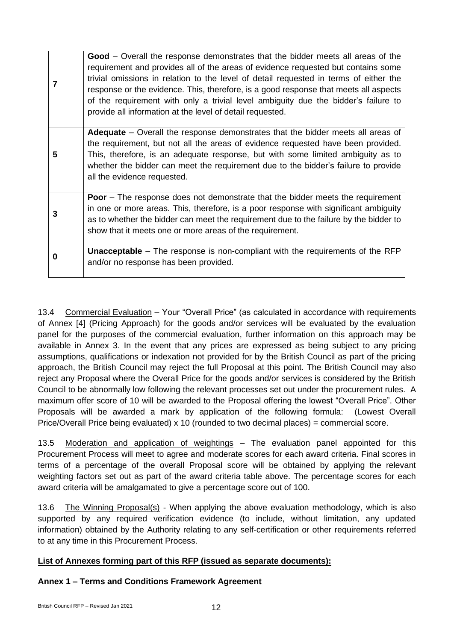|   | Good – Overall the response demonstrates that the bidder meets all areas of the<br>requirement and provides all of the areas of evidence requested but contains some<br>trivial omissions in relation to the level of detail requested in terms of either the<br>response or the evidence. This, therefore, is a good response that meets all aspects<br>of the requirement with only a trivial level ambiguity due the bidder's failure to<br>provide all information at the level of detail requested. |
|---|----------------------------------------------------------------------------------------------------------------------------------------------------------------------------------------------------------------------------------------------------------------------------------------------------------------------------------------------------------------------------------------------------------------------------------------------------------------------------------------------------------|
| 5 | <b>Adequate</b> – Overall the response demonstrates that the bidder meets all areas of<br>the requirement, but not all the areas of evidence requested have been provided.<br>This, therefore, is an adequate response, but with some limited ambiguity as to<br>whether the bidder can meet the requirement due to the bidder's failure to provide<br>all the evidence requested.                                                                                                                       |
| 3 | <b>Poor</b> – The response does not demonstrate that the bidder meets the requirement<br>in one or more areas. This, therefore, is a poor response with significant ambiguity<br>as to whether the bidder can meet the requirement due to the failure by the bidder to<br>show that it meets one or more areas of the requirement.                                                                                                                                                                       |
| 0 | <b>Unacceptable</b> – The response is non-compliant with the requirements of the RFP<br>and/or no response has been provided.                                                                                                                                                                                                                                                                                                                                                                            |

13.4 Commercial Evaluation – Your "Overall Price" (as calculated in accordance with requirements of Annex [4] (Pricing Approach) for the goods and/or services will be evaluated by the evaluation panel for the purposes of the commercial evaluation, further information on this approach may be available in Annex 3. In the event that any prices are expressed as being subject to any pricing assumptions, qualifications or indexation not provided for by the British Council as part of the pricing approach, the British Council may reject the full Proposal at this point. The British Council may also reject any Proposal where the Overall Price for the goods and/or services is considered by the British Council to be abnormally low following the relevant processes set out under the procurement rules. A maximum offer score of 10 will be awarded to the Proposal offering the lowest "Overall Price". Other Proposals will be awarded a mark by application of the following formula: (Lowest Overall Price/Overall Price being evaluated) x 10 (rounded to two decimal places) = commercial score.

13.5 Moderation and application of weightings – The evaluation panel appointed for this Procurement Process will meet to agree and moderate scores for each award criteria. Final scores in terms of a percentage of the overall Proposal score will be obtained by applying the relevant weighting factors set out as part of the award criteria table above. The percentage scores for each award criteria will be amalgamated to give a percentage score out of 100.

13.6 The Winning Proposal(s) - When applying the above evaluation methodology, which is also supported by any required verification evidence (to include, without limitation, any updated information) obtained by the Authority relating to any self-certification or other requirements referred to at any time in this Procurement Process.

## **List of Annexes forming part of this RFP (issued as separate documents):**

## **Annex 1 – Terms and Conditions Framework Agreement**